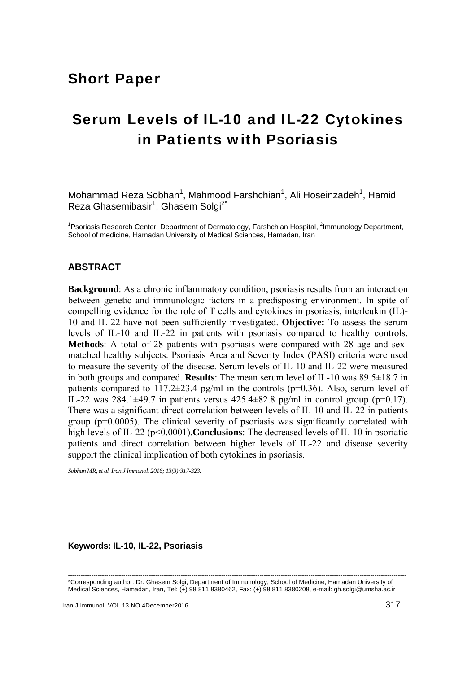# Short Paper

# Serum Levels of IL-10 and IL-22 Cytokines in Patients with Psoriasis

Mohammad Reza Sobhan<sup>1</sup>, Mahmood Farshchian<sup>1</sup>, Ali Hoseinzadeh<sup>1</sup>, Hamid Reza Ghasemibasir<sup>1</sup>, Ghasem Solgi<sup>2\*</sup>

<sup>1</sup> Psoriasis Research Center, Department of Dermatology, Farshchian Hospital, <sup>2</sup>Immunology Department, School of medicine, Hamadan University of Medical Sciences, Hamadan, Iran

## **ABSTRACT**

**Background**: As a chronic inflammatory condition, psoriasis results from an interaction between genetic and immunologic factors in a predisposing environment. In spite of compelling evidence for the role of T cells and cytokines in psoriasis, interleukin (IL)- 10 and IL-22 have not been sufficiently investigated. **Objective:** To assess the serum levels of IL-10 and IL-22 in patients with psoriasis compared to healthy controls. **Methods**: A total of 28 patients with psoriasis were compared with 28 age and sexmatched healthy subjects. Psoriasis Area and Severity Index (PASI) criteria were used to measure the severity of the disease. Serum levels of IL-10 and IL-22 were measured in both groups and compared. **Results**: The mean serum level of IL-10 was 89.5±18.7 in patients compared to  $117.2\pm23.4$  pg/ml in the controls (p=0.36). Also, serum level of IL-22 was  $284.1\pm49.7$  in patients versus  $425.4\pm82.8$  pg/ml in control group (p=0.17). There was a significant direct correlation between levels of IL-10 and IL-22 in patients group (p=0.0005). The clinical severity of psoriasis was significantly correlated with high levels of IL-22 (p<0.0001). **Conclusions**: The decreased levels of IL-10 in psoriatic patients and direct correlation between higher levels of IL-22 and disease severity support the clinical implication of both cytokines in psoriasis.

*Sobhan MR, et al. Iran J Immunol. 2016; 13(3):317-323.* 

#### **Keywords: IL-10, IL-22, Psoriasis**

<sup>---------------------------------------------------------------------------------------------------------------------------------------------------------------</sup>  \*Corresponding author: Dr. Ghasem Solgi, Department of Immunology, School of Medicine, Hamadan University of Medical Sciences, Hamadan, Iran, Tel: (+) 98 811 8380462, Fax: (+) 98 811 8380208, e-mail: gh.solgi@umsha.ac.ir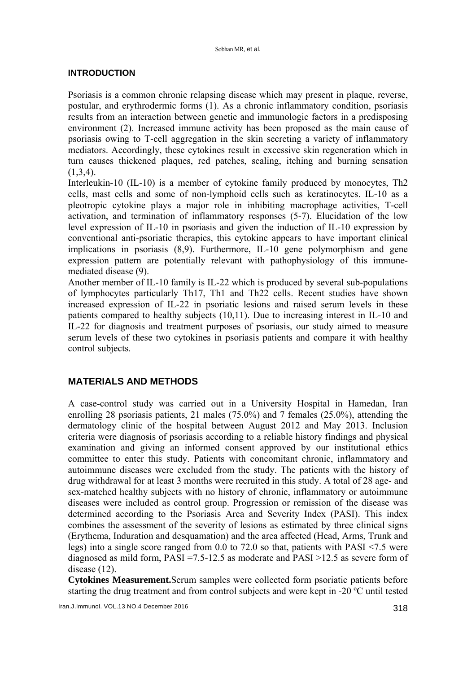#### **INTRODUCTION**

Psoriasis is a common chronic relapsing disease which may present in plaque, reverse, postular, and erythrodermic forms (1). As a chronic inflammatory condition, psoriasis results from an interaction between genetic and immunologic factors in a predisposing environment (2). Increased immune activity has been proposed as the main cause of psoriasis owing to T-cell aggregation in the skin secreting a variety of inflammatory mediators. Accordingly, these cytokines result in excessive skin regeneration which in turn causes thickened plaques, red patches, scaling, itching and burning sensation  $(1,3,4)$ .

Interleukin-10 (IL-10) is a member of cytokine family produced by monocytes, Th2 cells, mast cells and some of non-lymphoid cells such as keratinocytes. IL-10 as a pleotropic cytokine plays a major role in inhibiting macrophage activities, T-cell activation, and termination of inflammatory responses (5-7). Elucidation of the low level expression of IL-10 in psoriasis and given the induction of IL-10 expression by conventional anti-psoriatic therapies, this cytokine appears to have important clinical implications in psoriasis (8,9). Furthermore, IL-10 gene polymorphism and gene expression pattern are potentially relevant with pathophysiology of this immunemediated disease (9).

Another member of IL-10 family is IL-22 which is produced by several sub-populations of lymphocytes particularly Th17, Th1 and Th22 cells. Recent studies have shown increased expression of IL-22 in psoriatic lesions and raised serum levels in these patients compared to healthy subjects (10,11). Due to increasing interest in IL-10 and IL-22 for diagnosis and treatment purposes of psoriasis, our study aimed to measure serum levels of these two cytokines in psoriasis patients and compare it with healthy control subjects.

# **MATERIALS AND METHODS**

A case-control study was carried out in a University Hospital in Hamedan, Iran enrolling 28 psoriasis patients, 21 males (75.0%) and 7 females (25.0%), attending the dermatology clinic of the hospital between August 2012 and May 2013. Inclusion criteria were diagnosis of psoriasis according to a reliable history findings and physical examination and giving an informed consent approved by our institutional ethics committee to enter this study. Patients with concomitant chronic, inflammatory and autoimmune diseases were excluded from the study. The patients with the history of drug withdrawal for at least 3 months were recruited in this study. A total of 28 age- and sex-matched healthy subjects with no history of chronic, inflammatory or autoimmune diseases were included as control group. Progression or remission of the disease was determined according to the Psoriasis Area and Severity Index (PASI). This index combines the assessment of the severity of lesions as estimated by three clinical signs (Erythema, Induration and desquamation) and the area affected (Head, Arms, Trunk and legs) into a single score ranged from 0.0 to 72.0 so that, patients with PASI <7.5 were diagnosed as mild form,  $PASI = 7.5-12.5$  as moderate and  $PASI > 12.5$  as severe form of disease (12).

**Cytokines Measurement.**Serum samples were collected form psoriatic patients before starting the drug treatment and from control subjects and were kept in -20 ºC until tested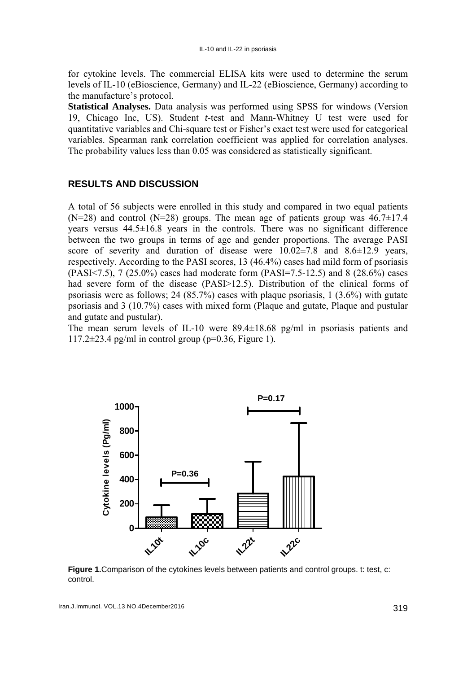for cytokine levels. The commercial ELISA kits were used to determine the serum levels of IL-10 (eBioscience, Germany) and IL-22 (eBioscience, Germany) according to the manufacture's protocol.

**Statistical Analyses.** Data analysis was performed using SPSS for windows (Version 19, Chicago Inc, US). Student *t*-test and Mann-Whitney U test were used for quantitative variables and Chi-square test or Fisher's exact test were used for categorical variables. Spearman rank correlation coefficient was applied for correlation analyses. The probability values less than 0.05 was considered as statistically significant.

### **RESULTS AND DISCUSSION**

A total of 56 subjects were enrolled in this study and compared in two equal patients  $(N=28)$  and control  $(N=28)$  groups. The mean age of patients group was  $46.7\pm17.4$ years versus 44.5±16.8 years in the controls. There was no significant difference between the two groups in terms of age and gender proportions. The average PASI score of severity and duration of disease were  $10.02\pm7.8$  and  $8.6\pm12.9$  years, respectively. According to the PASI scores, 13 (46.4%) cases had mild form of psoriasis (PASI<7.5), 7 (25.0%) cases had moderate form (PASI=7.5-12.5) and 8 (28.6%) cases had severe form of the disease (PASI>12.5). Distribution of the clinical forms of psoriasis were as follows; 24 (85.7%) cases with plaque psoriasis, 1 (3.6%) with gutate psoriasis and 3 (10.7%) cases with mixed form (Plaque and gutate, Plaque and pustular and gutate and pustular).

The mean serum levels of IL-10 were 89.4±18.68 pg/ml in psoriasis patients and  $117.2\pm23.4$  pg/ml in control group (p=0.36, Figure 1).



**Figure 1.** Comparison of the cytokines levels between patients and control groups. t: test, c: control.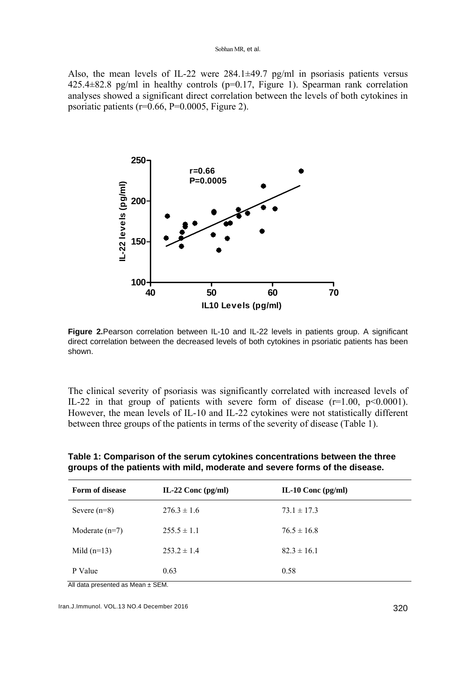Also, the mean levels of IL-22 were 284.1±49.7 pg/ml in psoriasis patients versus 425.4±82.8 pg/ml in healthy controls (p=0.17, Figure 1). Spearman rank correlation analyses showed a significant direct correlation between the levels of both cytokines in psoriatic patients ( $r=0.66$ ,  $P=0.0005$ , Figure 2).



**Figure 2.**Pearson correlation between IL-10 and IL-22 levels in patients group. A significant direct correlation between the decreased levels of both cytokines in psoriatic patients has been shown.

The clinical severity of psoriasis was significantly correlated with increased levels of IL-22 in that group of patients with severe form of disease  $(r=1.00, p<0.0001)$ . However, the mean levels of IL-10 and IL-22 cytokines were not statistically different between three groups of the patients in terms of the severity of disease (Table 1).

|  |                                                                             | Table 1: Comparison of the serum cytokines concentrations between the three |
|--|-----------------------------------------------------------------------------|-----------------------------------------------------------------------------|
|  | groups of the patients with mild, moderate and severe forms of the disease. |                                                                             |

| <b>Form of disease</b> | IL-22 Conc $\frac{pg}{ml}$ | IL-10 Conc $\frac{pg}{ml}$ |
|------------------------|----------------------------|----------------------------|
| Severe $(n=8)$         | $276.3 \pm 1.6$            | $73.1 \pm 17.3$            |
| Moderate $(n=7)$       | $255.5 \pm 1.1$            | $76.5 \pm 16.8$            |
| Mild $(n=13)$          | $253.2 \pm 1.4$            | $82.3 \pm 16.1$            |
| P Value                | 0.63                       | 0.58                       |

All data presented as Mean ± SEM.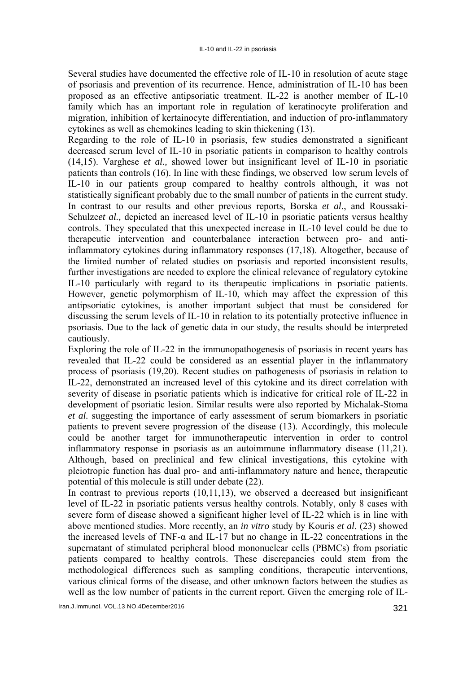Several studies have documented the effective role of IL-10 in resolution of acute stage of psoriasis and prevention of its recurrence. Hence, administration of IL-10 has been proposed as an effective antipsoriatic treatment. IL-22 is another member of IL-10 family which has an important role in regulation of keratinocyte proliferation and migration, inhibition of kertainocyte differentiation, and induction of pro-inflammatory cytokines as well as chemokines leading to skin thickening (13).

Regarding to the role of IL-10 in psoriasis, few studies demonstrated a significant decreased serum level of IL-10 in psoriatic patients in comparison to healthy controls (14,15). Varghese *et al.,* showed lower but insignificant level of IL-10 in psoriatic patients than controls (16). In line with these findings, we observed low serum levels of IL-10 in our patients group compared to healthy controls although, it was not statistically significant probably due to the small number of patients in the current study. In contrast to our results and other previous reports, Borska *et al*., and Roussaki-Schulze*et al.*, depicted an increased level of IL-10 in psoriatic patients versus healthy controls. They speculated that this unexpected increase in IL-10 level could be due to therapeutic intervention and counterbalance interaction between pro- and antiinflammatory cytokines during inflammatory responses (17,18). Altogether, because of the limited number of related studies on psoriasis and reported inconsistent results, further investigations are needed to explore the clinical relevance of regulatory cytokine IL-10 particularly with regard to its therapeutic implications in psoriatic patients. However, genetic polymorphism of IL-10, which may affect the expression of this antipsoriatic cytokines, is another important subject that must be considered for discussing the serum levels of IL-10 in relation to its potentially protective influence in psoriasis. Due to the lack of genetic data in our study, the results should be interpreted cautiously.

Exploring the role of IL-22 in the immunopathogenesis of psoriasis in recent years has revealed that IL-22 could be considered as an essential player in the inflammatory process of psoriasis (19,20). Recent studies on pathogenesis of psoriasis in relation to IL-22, demonstrated an increased level of this cytokine and its direct correlation with severity of disease in psoriatic patients which is indicative for critical role of IL-22 in development of psoriatic lesion. Similar results were also reported by Michalak-Stoma *et al.* suggesting the importance of early assessment of serum biomarkers in psoriatic patients to prevent severe progression of the disease (13). Accordingly, this molecule could be another target for immunotherapeutic intervention in order to control inflammatory response in psoriasis as an autoimmune inflammatory disease (11,21). Although, based on preclinical and few clinical investigations, this cytokine with pleiotropic function has dual pro- and anti-inflammatory nature and hence, therapeutic potential of this molecule is still under debate (22).

In contrast to previous reports (10,11,13), we observed a decreased but insignificant level of IL-22 in psoriatic patients versus healthy controls. Notably, only 8 cases with severe form of disease showed a significant higher level of IL-22 which is in line with above mentioned studies. More recently, an *in vitro* study by Kouris *et al*. (23) showed the increased levels of TNF- $\alpha$  and IL-17 but no change in IL-22 concentrations in the supernatant of stimulated peripheral blood mononuclear cells (PBMCs) from psoriatic patients compared to healthy controls. These discrepancies could stem from the methodological differences such as sampling conditions, therapeutic interventions, various clinical forms of the disease, and other unknown factors between the studies as well as the low number of patients in the current report. Given the emerging role of IL-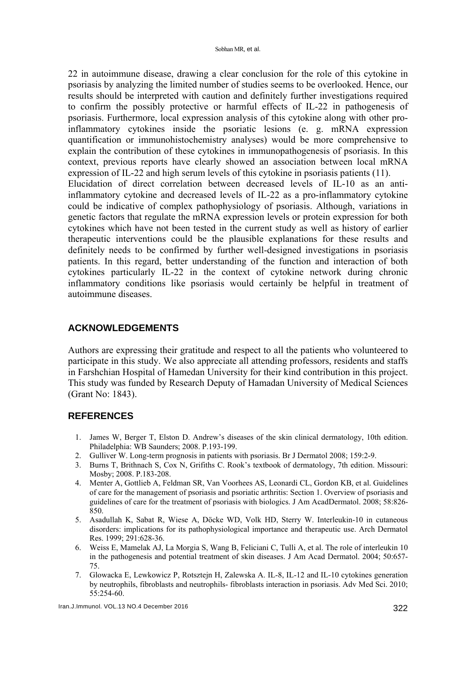22 in autoimmune disease, drawing a clear conclusion for the role of this cytokine in psoriasis by analyzing the limited number of studies seems to be overlooked. Hence, our results should be interpreted with caution and definitely further investigations required to confirm the possibly protective or harmful effects of IL-22 in pathogenesis of psoriasis. Furthermore, local expression analysis of this cytokine along with other proinflammatory cytokines inside the psoriatic lesions (e. g. mRNA expression quantification or immunohistochemistry analyses) would be more comprehensive to explain the contribution of these cytokines in immunopathogenesis of psoriasis. In this context, previous reports have clearly showed an association between local mRNA expression of IL-22 and high serum levels of this cytokine in psoriasis patients (11). Elucidation of direct correlation between decreased levels of IL-10 as an antiinflammatory cytokine and decreased levels of IL-22 as a pro-inflammatory cytokine could be indicative of complex pathophysiology of psoriasis. Although, variations in genetic factors that regulate the mRNA expression levels or protein expression for both cytokines which have not been tested in the current study as well as history of earlier therapeutic interventions could be the plausible explanations for these results and definitely needs to be confirmed by further well-designed investigations in psoriasis patients. In this regard, better understanding of the function and interaction of both cytokines particularly IL-22 in the context of cytokine network during chronic inflammatory conditions like psoriasis would certainly be helpful in treatment of autoimmune diseases.

#### **ACKNOWLEDGEMENTS**

Authors are expressing their gratitude and respect to all the patients who volunteered to participate in this study. We also appreciate all attending professors, residents and staffs in Farshchian Hospital of Hamedan University for their kind contribution in this project. This study was funded by Research Deputy of Hamadan University of Medical Sciences (Grant No: 1843).

# **REFERENCES**

- 1. James W, Berger T, Elston D. Andrew's diseases of the skin clinical dermatology, 10th edition. Philadelphia: WB Saunders; 2008. P.193-199.
- 2. Gulliver W. Long-term prognosis in patients with psoriasis. Br J Dermatol 2008; 159:2-9.
- 3. Burns T, Brithnach S, Cox N, Grifiths C. Rook's textbook of dermatology, 7th edition. Missouri: Mosby; 2008. P.183-208.
- 4. Menter A, Gottlieb A, Feldman SR, Van Voorhees AS, Leonardi CL, Gordon KB, et al. Guidelines of care for the management of psoriasis and psoriatic arthritis: Section 1. Overview of psoriasis and guidelines of care for the treatment of psoriasis with biologics. J Am AcadDermatol. 2008; 58:826- 850.
- 5. Asadullah K, Sabat R, Wiese A, Döcke WD, Volk HD, Sterry W. Interleukin-10 in cutaneous disorders: implications for its pathophysiological importance and therapeutic use. Arch Dermatol Res. 1999; 291:628-36.
- 6. Weiss E, Mamelak AJ, La Morgia S, Wang B, Feliciani C, Tulli A, et al. The role of interleukin 10 in the pathogenesis and potential treatment of skin diseases. J Am Acad Dermatol. 2004; 50:657- 75.
- 7. Glowacka E, Lewkowicz P, Rotsztejn H, Zalewska A. IL-8, IL-12 and IL-10 cytokines generation by neutrophils, fibroblasts and neutrophils- fibroblasts interaction in psoriasis. Adv Med Sci. 2010; 55:254-60.